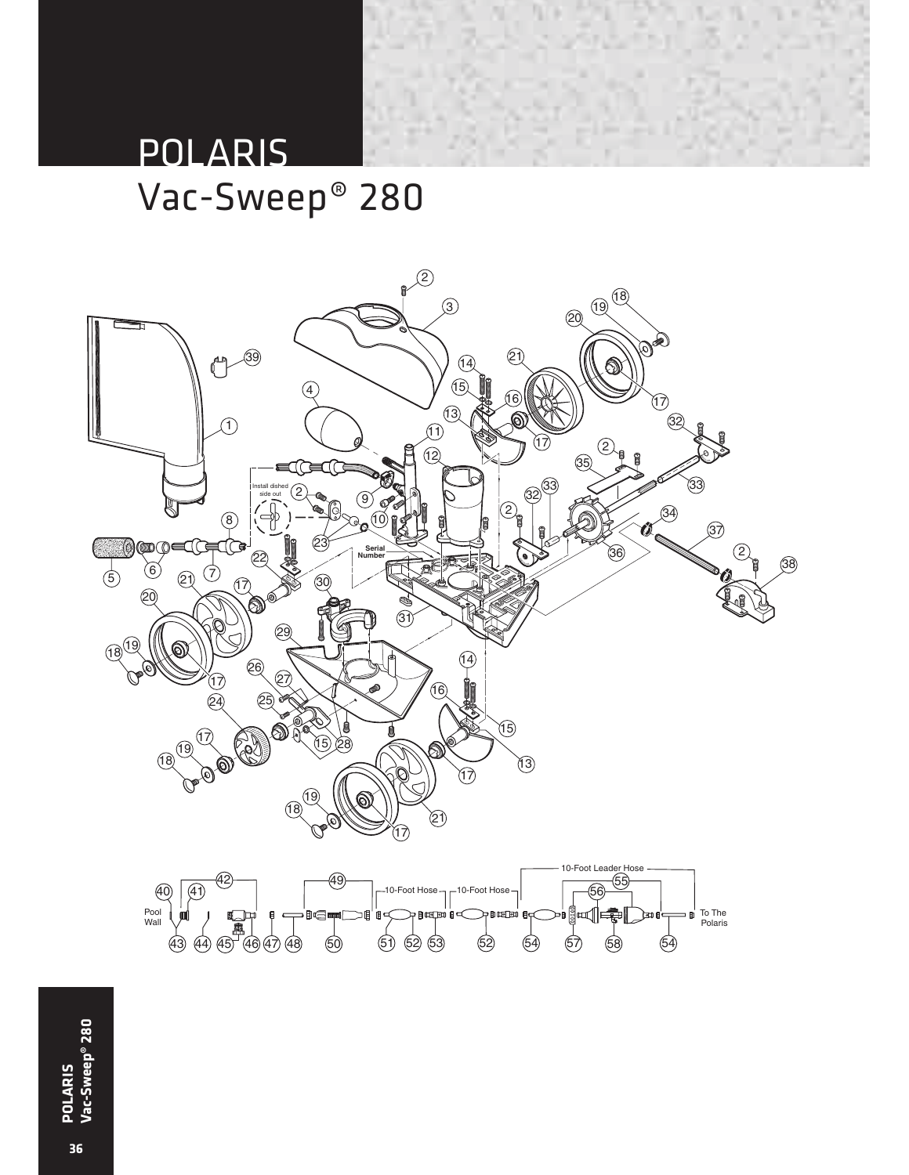## POLARIS Vac-Sweep® 280



**36POLARIS Vac-Sweep® 280**